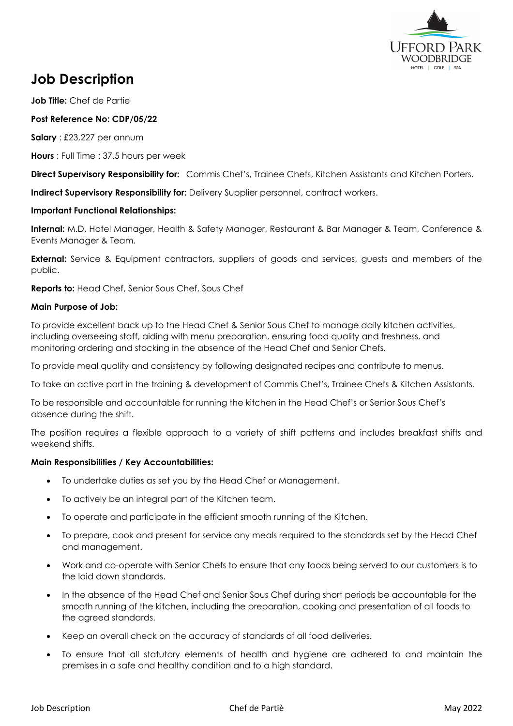

# **Job Description**

**Job Title:** Chef de Partie

# **Post Reference No: CDP/05/22**

**Salary** : £23,227 per annum

**Hours** : Full Time : 37.5 hours per week

**Direct Supervisory Responsibility for:** Commis Chef's, Trainee Chefs, Kitchen Assistants and Kitchen Porters.

**Indirect Supervisory Responsibility for:** Delivery Supplier personnel, contract workers.

### **Important Functional Relationships:**

**Internal:** M.D, Hotel Manager, Health & Safety Manager, Restaurant & Bar Manager & Team, Conference & Events Manager & Team.

**External:** Service & Equipment contractors, suppliers of goods and services, guests and members of the public.

**Reports to:** Head Chef, Senior Sous Chef, Sous Chef

#### **Main Purpose of Job:**

To provide excellent back up to the Head Chef & Senior Sous Chef to manage daily kitchen activities, including overseeing staff, aiding with menu preparation, ensuring food quality and freshness, and monitoring ordering and stocking in the absence of the Head Chef and Senior Chefs.

To provide meal quality and consistency by following designated recipes and contribute to menus.

To take an active part in the training & development of Commis Chef's, Trainee Chefs & Kitchen Assistants.

To be responsible and accountable for running the kitchen in the Head Chef's or Senior Sous Chef's absence during the shift.

The position requires a flexible approach to a variety of shift patterns and includes breakfast shifts and weekend shifts.

#### **Main Responsibilities / Key Accountabilities:**

- To undertake duties as set you by the Head Chef or Management.
- To actively be an integral part of the Kitchen team.
- To operate and participate in the efficient smooth running of the Kitchen.
- To prepare, cook and present for service any meals required to the standards set by the Head Chef and management.
- Work and co-operate with Senior Chefs to ensure that any foods being served to our customers is to the laid down standards.
- In the absence of the Head Chef and Senior Sous Chef during short periods be accountable for the smooth running of the kitchen, including the preparation, cooking and presentation of all foods to the agreed standards.
- Keep an overall check on the accuracy of standards of all food deliveries.
- To ensure that all statutory elements of health and hygiene are adhered to and maintain the premises in a safe and healthy condition and to a high standard.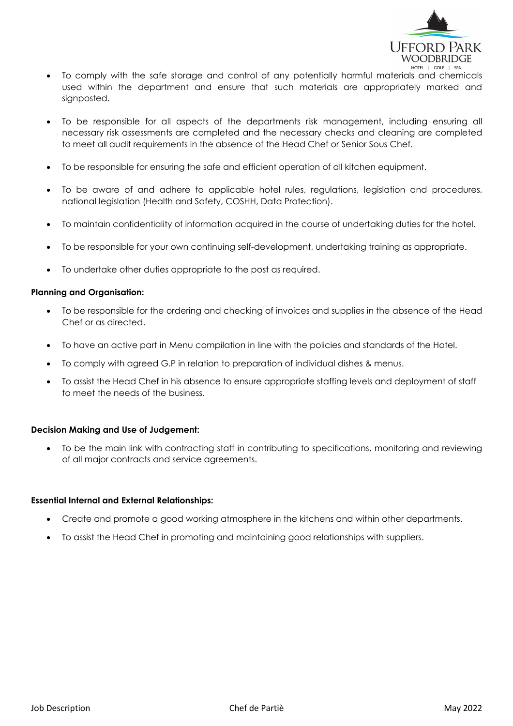

- To comply with the safe storage and control of any potentially harmful materials and chemicals used within the department and ensure that such materials are appropriately marked and signposted.
- To be responsible for all aspects of the departments risk management, including ensuring all necessary risk assessments are completed and the necessary checks and cleaning are completed to meet all audit requirements in the absence of the Head Chef or Senior Sous Chef.
- To be responsible for ensuring the safe and efficient operation of all kitchen equipment.
- To be aware of and adhere to applicable hotel rules, regulations, legislation and procedures, national legislation (Health and Safety, COSHH, Data Protection).
- To maintain confidentiality of information acquired in the course of undertaking duties for the hotel.
- To be responsible for your own continuing self-development, undertaking training as appropriate.
- To undertake other duties appropriate to the post as required.

#### **Planning and Organisation:**

- To be responsible for the ordering and checking of invoices and supplies in the absence of the Head Chef or as directed.
- To have an active part in Menu compilation in line with the policies and standards of the Hotel.
- To comply with agreed G.P in relation to preparation of individual dishes & menus.
- To assist the Head Chef in his absence to ensure appropriate staffing levels and deployment of staff to meet the needs of the business.

#### **Decision Making and Use of Judgement:**

• To be the main link with contracting staff in contributing to specifications, monitoring and reviewing of all major contracts and service agreements.

#### **Essential Internal and External Relationships:**

- Create and promote a good working atmosphere in the kitchens and within other departments.
- To assist the Head Chef in promoting and maintaining good relationships with suppliers.